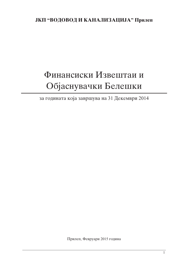# Финансиски Извештаи и Објаснувачки Белешки

за годината која завршува на 31 Декември 2014

Прилеп, Февруари 2015 година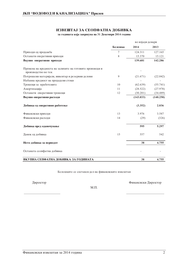# ИЗВЕШТАЈ ЗА СЕОПФАТНА ДОБИВКА

за годината која завршува на 31 Декември 2014 година

|                                                                                 |         | во илјади денари |           |
|---------------------------------------------------------------------------------|---------|------------------|-----------|
|                                                                                 | Белешка | 2014             | 2013      |
| Приходи од продажба                                                             | 7       | 124.311          | 127.165   |
| Останати оперативни приходи                                                     | 8       | 15.370           | 15.121    |
| Вкупно оперативни приходи                                                       |         | 139.681          | 142.286   |
| Промена на вредноста на залихите на готовите производи и<br>производство во тек |         |                  |           |
| Потрошени материјали, инвентар и резервни делови                                | 9       | (21.671)         | (22.042)  |
| Набавна вредност на продадени стоки                                             |         |                  |           |
| Трошоци за вработените                                                          | 10      | (62.639)         | (55.741)  |
| Амортизација                                                                    | 11      | (28.522)         | (27.978)  |
| Останати оперативни трошоци                                                     | 12      | (30.201)         | (34.489)  |
| Вкупно оперативни расходи                                                       |         | (143.033)        | (140.250) |
| Добивка од оперативно работење                                                  |         | (3.352)          | 2.036     |
| Финансиски приходи                                                              | 13      | 3.976            | 3.587     |
| Финансиски расходи                                                              | 14      | (29)             | (326)     |
| Добивка пред оданочување                                                        |         | 595              | 5.297     |
| Данок од добивка                                                                | 15      | 557              | 542       |
| Нето добивка за периодот                                                        |         | 38               | 4.755     |
| Останата сеопфатна добивка                                                      |         |                  |           |
| ВКУПНА СЕПФАТНА ДОБИВКА ЗА ГОДИНАТА                                             |         | 38               | 4.755     |

Белешките се составен дел на финансиските извештаи

Директор

Финансиски Директор

 $M.\Pi.$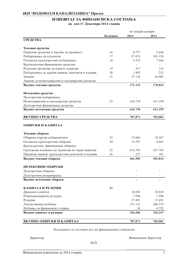# ИЗВЕШТАЈ ЗА ФИНАНСИСКА СОСТОЈБА на ден 31 Декември 2014 година

|                                                |         | во илјади денари |         |
|------------------------------------------------|---------|------------------|---------|
|                                                | Белешка | 2014             | 2013    |
| <b>СРЕДСТВА</b>                                |         |                  |         |
| Тековни средства                               |         |                  |         |
| Парични средства и хартии од вредност          | 16      | 8.577            | 2.846   |
| Побарувања од купувачи                         | 17      | 97.876           | 101.158 |
| Останати краткорочни побарувања                | 18      | 5.535            | 7.546   |
| Краткорочни финансиски средства                |         |                  |         |
| Платени трошоци за идните периоди              | 19      | 517              | 155     |
| Побарувања за дадени аванси, депозити и кауции | 20      | 1.492            | 212     |
| Залихи                                         | 21      | 57.136           | 58.905  |
| Аванси за нематеријални и материјални средства |         |                  |         |
| Вкупно тековни средства                        |         | 171.133          | 170.822 |
| Нетековни средства                             |         |                  |         |
| Долгорочни побарувања                          |         |                  |         |
| Нематеријални и материјални средства           | 22      | 616.738          | 611.259 |
| Долгорочни финансиски средства                 |         |                  |         |
| Вкупно нетековни средства                      |         | 616.738          | 611.259 |
| ВКУПНО СРЕДСТВА                                |         | 787.871          | 782.081 |
| ОБВРСКИ И КАПИТАЛ                              |         |                  |         |
| Тековни обврски                                |         |                  |         |
| Обврски спрема добавувачите                    | 23      | 32.866           | 19.267  |
| Останати краткорочни обврски                   | 24      | 15.707           | 8.603   |
| Краткорочни финансиски обврски                 |         |                  |         |
| Одложени плаќања на трошоци во идни периоди    | 25      | 412.785          | 427.783 |
| Примени аванси, краткорочни депозити и кауции  | 26      | 227              | 181     |
| Вкупно тековни обврски                         |         | 461.585          | 455.834 |
| НЕТЕКОВНИ ОБВРСКИ                              |         |                  |         |
| Долгорочни обврски                             |         |                  |         |
| Долгорочни резервирања                         |         |                  |         |
| Вкупно нетековни обврски                       |         |                  |         |
| КАПИТАЛ И РЕЗЕРВИ                              | 27      |                  |         |
| Државен капитал                                |         | 10.028           | 10.028  |
| Ревалоризациона резерва                        |         | 7.598            | 7.598   |
| Резерви                                        |         | 37.491           | 37.491  |
| Акумулирана добивка                            |         | 271.131          | 266.375 |
| Добивка за финансиска година                   |         | 38               | 4.755   |
| Вкупно капитал и резерви                       |         | 326.286          | 326.247 |
| ВКУПНО ОБВРСКИ И КАПИТАЛ                       |         | 787.871          | 782.081 |

Белешките се составен дел на финансиските извештаи

Директор

Финансиски Директор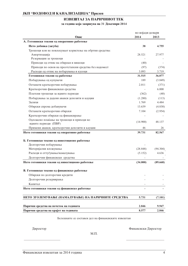# ИЗВЕШТАЈ ЗА ПАРИЧНИОТ ТЕК

за година која завршува на 31 Декември 2014

|                                                          | во илјади денари |          |
|----------------------------------------------------------|------------------|----------|
| Опис                                                     | 2014             | 2013     |
| А. Готовински текови од оперативно работење              |                  |          |
| Нето добивка (загуба)                                    | 38               | 4.755    |
| Трошоци кои не повлекуваат користење на обртни средства: |                  |          |
| Амортизација                                             | 28.521           | 27.977   |
| Резервации за трошоци                                    |                  |          |
| Приходи од отпис на обврски и вишоци                     | (40)             |          |
| Приходи по основ на преотстапени средства без надомест   | (97)             | (374)    |
| Расходи од отпис на побарувања и кусоци                  | 3.093            | 3.719    |
| Готовински текови од работење                            | 31.515           | 36.077   |
| Побарувања од купувачи                                   | 189              | (3.849)  |
| Останати краткорочни побарувања                          | 2.011            | (371)    |
| Краткорочни финансиски средства                          |                  | 6.000    |
| Платени трошоци за идните периоди                        | (362)            | (40)     |
| Побарувања за дадени аванси депозити и кауции            | (1.280)          | (113)    |
| Залихи                                                   | 1.769            | 4.484    |
| Обврски спрема добавувачи                                | 13.639           | (4.830)  |
| Останати краткорочни обврски                             | 7.104            | (2.954)  |
| Краткорочни обврски од финансирање                       |                  |          |
| Одложено плаќање на трошоци и приходи во                 | (14.900)         | 48.137   |
| идните периоди (ПВР)                                     |                  |          |
| Примени аванси, краткорочни депозити и кауции            | 46               | 26       |
| Нето готовински текови од оперативно работење            | 39.731           | 82.567   |
| Б. Готовински текови од инвестиционо работење            |                  |          |
| Долгорочни побарувања                                    |                  |          |
| Материјални вложувања                                    | (28.848)         | (94.304) |
| Расходи и оттуѓувања/намалувања                          | (5.152)          | 4.636    |
| Долгорочни финансиски средства                           |                  |          |
| Нето готовински текови од инвестиционо работење          | (34.000)         | (89.668) |
| В. Готовински текови од финансиско работење              |                  |          |
| Обврски по долгорочни кредити                            |                  |          |
| Долгорочни резервирања                                   |                  |          |
| Капитал                                                  |                  |          |
| Нето готовински текови од финансиско работење            |                  |          |
| НЕТО ЗГОЛЕМУВАЊЕ (НАМАЛУВАЊЕ) НА ПАРИЧНИТЕ СРЕДСТВА      | 5.731            | (7.101)  |
| Парични средства на почеток на годината                  | 2.846            | 9.947    |
| Парични средства на крајот на годината                   | 8.577            | 2.846    |

Белешките се составен дел на финансиските извештаи

Директор

Финансиски Директор

 $M.\Pi.$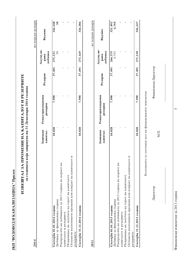| 1                                                                  |  |
|--------------------------------------------------------------------|--|
| ֧֧ׅ֧֧֧֧ׅ֚֚֚֚֚֚֚֚֚֚֚֚֚֓֓֘֩֓֓֡֓֡֓֓֡֓֡֓֡֓֡֓֡֓֡֓֓֡֓֡֓֓֡֓֓֡֓֓֡֓֓֡֓֓֓֬֓֩ |  |
|                                                                    |  |
|                                                                    |  |
|                                                                    |  |
|                                                                    |  |
|                                                                    |  |
| $\frac{1}{2}$                                                      |  |
|                                                                    |  |
|                                                                    |  |
|                                                                    |  |
| $\frac{1}{2}$                                                      |  |
| Ì                                                                  |  |
| $\frac{1}{2}$                                                      |  |
|                                                                    |  |
|                                                                    |  |
| くりくしくり                                                             |  |
|                                                                    |  |
|                                                                    |  |
|                                                                    |  |
|                                                                    |  |

# ИЗВЕШТАЈ ЗА ПРОМЕНИ НА КАПИТАЛОТ И РЕЗЕРВИТЕ

за годината која завршува на 31 Декември 2014 година

2014

во илјади денари

l,

|                                                        | Запишан<br>капитал | Ревалоризациони<br>резерви | Резерви | Акумули-<br>добивка<br>paнa | Вкупно  |
|--------------------------------------------------------|--------------------|----------------------------|---------|-----------------------------|---------|
| Состојба 01.01.2014 година                             | 10.028             | 7.598                      |         | 37.491 271.131              | 326.248 |
| Добивка за финансиска година                           |                    |                            |         |                             | 38      |
| Распределба на добивката за 2013 година во корист на   |                    |                            |         |                             |         |
| капиталот и резервите                                  |                    |                            |         |                             |         |
| Покривање на загубата на терет на капиталот            |                    |                            |         |                             |         |
| Останати неспомнати промени кои влијаат на капиталот и |                    |                            |         |                             |         |
| резервите                                              |                    |                            |         |                             |         |
| Состојба 31.12.2014 година                             | 10.028             | 7.598                      |         | 37.491 271.169              | 326.286 |

2013

во илјади денари

|                                                                                                       | Запишан<br>капитал | Ревалоризациони<br>резерви | Резерви | Акумули-<br>добивка<br>рана | Вкупно           |
|-------------------------------------------------------------------------------------------------------|--------------------|----------------------------|---------|-----------------------------|------------------|
| Добивка за финансиска година<br>Состојба 01.01.2013 година                                            | 10.028             | 7.598                      |         | 37.491 266.375<br>4.755     | 321.492<br>4.755 |
| Распределба на добивката за 2012 година во корист на<br>капиталот и резервите                         |                    |                            |         |                             |                  |
| Останати неспомнати промени кои влијаат на капиталот и<br>Покривање на загубата на терет на капиталот |                    |                            |         |                             |                  |
| резервите                                                                                             |                    |                            |         |                             |                  |
| Состојба 31.12.2013 година                                                                            | 10.028             | 7.598                      |         | 37.491 271.130              | 326.247          |
|                                                                                                       |                    |                            |         |                             |                  |

Белешките се составен дел на финансиските извештаи

Директор

 $M.\Pi.$ 

Финансиски Директор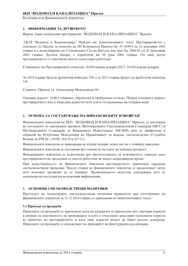Белешки кон финансиските извештаи

#### 1. ИНФОРМАЦИИ ЗА ПРУШТВОТО

Фирма: Јавно комунално претпријатие "ВОДОВОД И КАНАЛИЗАЦИЈА" Прилеп.

Ј.К.П "Водовод и Канализација" Прилеп (во понатамошниот текст Претпријатието) е основано со Одлука за поделба на ЈП Комуналец Прилеп бр. 07-1649/4 од 16 декември 2003 година и е регистрирано во Стопанскиот Суд во Битола под трег. бр. 2046/03 од 26 Декември 2003 година. Делбен биланс е изработен на 30 јуни 2004 година. Од овој датум претпријатието го започнува своето самостојно работење.

Главнината на Претпријатието изнесува 10.028 илјади денари (2013: 10.028 илјади денари).

За 2014 година број на вработени изнесува 150, а за 2013 година бројот на вработени изнесува 145.

Седиште: Прилеп ул. Александар Македонски бб.

Основна дејност: 36/00 Собирање, обработка и снабдување со вода. Покрај основната дејност претпријатието има и споредни дејности меѓу кои и отстранување на отпадни води.

#### 2. ОСНОВА ЗА СОСТАВУВАЊЕ НА ФИНАНСИСКИТЕ ИЗВЕШТАИ

Финансиските извештаи на ЈКП "ВОДОВОД И КАНАЛИЗАЦИЈА" Прилеп, се изготвени во согласност со законските прописи, Меѓународните Сметководствени Стандарди (МСС) и Меѓународните Стандарди за Финансиско Известување (МСФИ) што се прифатени и објавени во Република Македонија во Правилникот за водење сметководство (Службен Весник на РМ бр. 159/09, 164/10 и 107/11).

Финансиските извештаи се прикажани во илјади денари, освен ако не е поинаку наведено.

Финансиските извештаи се составени врз основа на методот на набавна вредност.

Финансиските извештаи се подготвени врз претпоставката за континуитет, односно дека претпријатието ќе продолжи со своето работење во некое непредвидено време.

При подготвувањето на финансиските извештаи претпријатието применува одредени сметководствени проценки. Некои ставки во финансиските извештаи се проценуваат затоа што неможат прецизно да се измерат. Проценувањето вклучува расудувања што се засновани на последни расположливи информации.

## 3. ОСНОВНИ СМЕТКОВОДСТВЕНИ ПОЛИТИКИ

Прегледот на позначајните сметководствени политики применети при изготвување на финансиските извештаи за 31.12.2014 година се прикажани во понатамошниот текст.

#### 3.1 Приходи од продажба

Приходите од продажба се признаваат кога на купувачот се пренесени сите значајни користи и ризици од сопственоста на производите и кога е очекувано дека идни економски користи ќе притечат во претпријатието и кога овие користи можат да бидат реално измерени. Приходите од продажба се искажуваат по принципот на фактурирана реализација.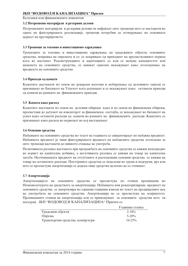Белешки кон финансиските извештаи

#### 3.2 Потрошени материјали и резервни делови

Потрошените материјали и резервни делови ги опфаќаат сите трошоци што се настанати во однос на фактурираната реализација, трошоци потребни за остварување на основната дејност на претпријатието.

#### 3.3 Трошопи за тековно и инвестиционо опржување

Трошоците за тековно и инвестиционо одржување на градежните објекти, основните средства, поправка на опремата и сл. се покриваат од приходите на пресметковниот период кога ќе настанат. Реконструкциите и адаптациите со кои се менува капацитетот или намената на основните средства, се книжат односно искажуваат како зголемување на вредноста на основните средства.

#### 3.4 Приходи од камати

Каматите настанати по основ на денарски влогови и побарувања од деловните односи се признаваат во Билансот на Успехот кога доспеваат и се искажуваат како останати приходи од камати во рамките на финансиските приходи.

#### 3.5 Камата како расход

Каматите настанати по основ на деловни обврски како и по основ на финансиски обврски, пресметани до датумот на извештајот за финансиска состојба, се искажуваат во билансот на успех како останати расхоли од камати во рамките на финансиските расхоли. Каматите се признаваат како расход во периодот во кој настануваат.

#### 3.6 Основни средства

Набавките на основните средства во текот на годината се евидентираат по набавна вредност. Набавната вредност ја чини фактурираната вредност на набавените средства зголемена за сите трошоци настанати по нивното ставање во употреба.

Позитивната разлика настаната при продажбата на основните средства се книжи непосредно во корист на капитална добивка, а негативната разлика се книжи на товар на капитална загуба. Неотпишаната вредност на оттуѓените и расходовани основни средства се книжи на товар на останатите расходи. Постојаните средства се поделени во групи и подгрупи, врз кои што се пресметува амортизација се додека овие средства целосно не се отпишат.

#### 3.7 Амортизација

Амортизацијата на основните средства се пресметува по стапки пропишани во Номенклатурата на средствата за амортизација. Набавната или ревалоризирана вредност на основните средства се амортизира во еднакви годишни износи во текот на предвидениот век на употребата на основните средства. Амортизација не се пресметува на земјиштето. Пропишаните стапки на амортизација кои се применуваат за основните средства што ги поседува ЈКП "ВОДОВОД И КАНАЛИЗАЦИЈА" Прилеп се:

|                                  | Годишна стапка |
|----------------------------------|----------------|
| Градежни објекти                 | $2 - 10\%$     |
| Опрема                           | $5 - 20\%$     |
| Транспортни средства, компјутери | $10 - 25\%$    |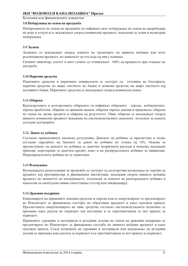Белешки кон финансиските извештаи

#### 3.8 Побарувања по основ на продажба

Побарувањата по основ на продажба ги опфаќаат сите побарувања по основ на дисрибуција на вода и услуги и се искажуваат според номинална вредност, намалени за лоши и несигурни побарувања.

#### 3.9 Залихи

Залихите се искажуваат според износот на трошоците на нивната набавна или нето реализациона вредност, во зависност од тоа која од нив е пониска.

Ситниот инвентар, алатот и авто гумите се отпишуваат 100% од вредноста при ставање во употреба.

#### 3.10 Парични средства

Паричните срепства и паричните еквиваленти се состојат од готовина во благајната. парични средства на жиро сметката во банки и девизни средства на жиро сметката кај деловните банки. Паричните средства се искажуваат според номинален износ.

#### 3.11 Обврски

Краткорочните и долгорочните обврските ги опфаќаат обврските спрема добавувачите, спрема вработени, обврски за примени аванси, обврски спрема ланоци и прилонеси, обврски по основ на заеми кредити и обврски од резултатот. Овие обврски се искажуваат според нивната номинална вредност искажана на сметководствениот документ, зголемен за камати согласно договорите.

#### 3.12. Данок од добивка

Согласно применливата законска регулатива, Данокот од добивка се пресметува и плаќа согласно одредбите на Законот за данок на добивка по стапка од 10%. Основа за пресметување на данокот на добивка се даночно непризнати расходи и помалку искажани приходи, корегирани за даночен кредит, како и на распределената добивка за дивиденди. Нераспределената добивка не се оданочува.

#### 3.13 Вложувања

Вложувањата расположиви за продажба се состојат од долгорочни вложувања во хартии од вредност кај претпријатија и финансиски институции, искажани според нивната набавна вредност во моментот на вложувањето, зголемени за износот на распоредената добивка и намалени за евентуално нивно оштетување (стечај или ликвидација).

#### 3.14 Државни поддршки

Евиденцијата на примените основни средства и опрема кои се амортизираат се презентираат во Извештајот за финансиска состојба по објективна вредност и како одложен приход. Пресметаната амортизацијата на овие средства согласно сметководствената политика се признава како расход во периодот кој настанува и се спротивставува со ист приход за периолот.

Примените суровини и материјали и резервни делови по основ на државни поддршки се презентираат во Извештајот за финансиска состојба по нивната набавна вредност и како одложен приход. Секој потрошок на суровини и материјали или вградување на резервни делови се признава како расход за периодот и се спротивставува со ист приход за периодот.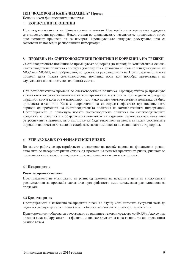Белешки кон финансиските извештаи

#### 4. КОРИСТЕНИ ПРОЦЕНКИ

При подготввувањето на финансиските извештаи Претпријатието применува одредени сметководствени проценки. Некои ставки во финансиските извештаи се проценуваат затоа што неможат прецизно да се измерат. Проценувањето вклучува расудувања што се засновани на последни расположливи информации.

#### 5. ПРОМЕНА НА СМЕТКОВОДСТВЕНИ ПОЛИТИКИ И КОРЕКЦИЈА НА ГРЕШКИ

Сметководствените политики се применуваат од период до период на конзистентна основа. Сметковолствена политика се менува локолку тоа е условено со измена или лонесување на МСС или МСФИ, или доброволно, со одлука на раководството на Претпријатието, ако се процени дека новата сметководствена политика води кон подобра презентација на случувањата и позициите во годишната сметка.

При ретроспективна промена во сметководствена политика, Претпријатието ја применува новата сметководствена политика на компаративните податоци за претходните периоди до најраниот датум кога тоа е изводливо, исто како новата сметководствена политика да била применета отсекогаш. Кога е непрактично да се одредат ефектите врз поединечните периоди од промената на сметководствената политика на компаративните информации, Претпријатието ја применува новата сметководствена политика на сметководствените вредности за средствата и обврските на почетокот на најраниот период за кој е изводлива ретроспективна примена, што пак може да биде тековниот период и ги прави соодветните корекции на почетното салдо на секоја засегната компонента на главнината за тој период.

#### 6. УПРАВУВАЊЕ СО ФИНАНСИСКИ РИЗИК

Во своето работење претпријатието е изложено на повеќе видови на финансиски ризици како што се пазарниот ризик (ризик од промена на цените) кредитниот ризик, ризикот од промена на каматните стапки, ризикот од неликвидност и даночниот ризик.

#### 6.1 Пазарен ризик

#### Ризик од промени на цени

Претпријатието не е изложено на ризик од промена на пазарните цени на вложувањата расположливи за продажба затоа што претпријатието нема вложувања расположливи за продажба.

#### 6.2 Кредитен ризик

Претпријатието е изложено на крелитен ризик во случај кога неговите купувачи нема ла бидат во состојба да ги исполнат своите обврски за плаќање спрема претпријатието.

Краткорочните побарувања учествуваат во вкупните тековни средства со 60,43%. Ако се има предвид дека побарувањата од физички лица застаруваат за една година, тогаш кредитниот ризик е голем.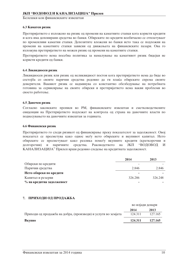#### 6.3 Каматен ризик

Претпријатието е изложено на ризик од промени на каматните стапки кога користи кредити и кога има депонирани средства во банки. Обврските по кредити вообичаено се отплатуваат по променливи каматни стапки. Депозитите вложени во банки исто така се подложни на промени на каматните стапки зависни од движењата на финансиските пазари. Ова го изложува претпријатието на можен ризик од промени на каматните стапки.

Претпријатието нема посебна политика за намалување на каматниот ризик бидејки не користи кредити од банки.

#### 6.4 Ликвидносен ризик

Ликвилносен ризик или ризик од неликвилност постои кога претпријатието нема да биле во состојба со своите парични средства редовно да ги плаќа обврските спрема своите доверители. Ваквиот ризик се надминува со константно обезбедување на потребната готовина за сервисирање на своите обврски и претпријатието нема вакви проблеми во своето работење.

#### 6.5 Ланочен ризик

Согласно законските прописи во РМ, финансиските извештаи и сметководствените евиденции на Претпријатието подлежат на контрола од страна на даночните власти по поднесувањето на даночните извештаи за годината.

#### 6.6 Финансиски ризик

Претпријатието го следи ризикот од финансирање преку показателот за задолженост. Овој показател се пресметува како однос меѓу нето обврските и вкупниот капитал. Нето обврските се пресметуваат како разлика помеѓу вкупните кредити (краткорочни и паричните средства. Раководството на ЈКП полгорочни) и "ВОПОВОП  $\boldsymbol{M}$ КАНАЛИЗАЦИЈА" Прилеп врши редовно следење на кредитната задолженост.

|                           | 2014    | 2013    |
|---------------------------|---------|---------|
| Обврски по кредити        |         |         |
| Парични средства          | 2.846   | 2.846   |
| Нето обврски по кредити   |         |         |
| Капитал и резерви         | 326.286 | 326.248 |
| % на кредитна задолженост |         |         |

#### 7. ПРИХОДИ ОД ПРОДАЖБА

|                                                               | во илјади денари |         |
|---------------------------------------------------------------|------------------|---------|
|                                                               | 2014             | 2013    |
| Приходи од продажба на добра, (производи) и услуги во земјата | 124.311          | 127.165 |
| Вкупно                                                        | 124.311          | 127.165 |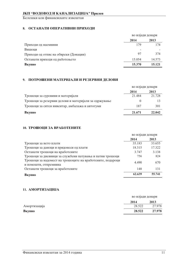Белешки кон финансиските извештаи

# 8. ОСТАНАТИ ОПЕРАТИВНИ ПРИХОДИ

|                                       | во илјади денари |        |
|---------------------------------------|------------------|--------|
|                                       | 2014             | 2013   |
| Приходи од наемнини                   | 179              | 174    |
| Вишоци                                |                  |        |
| Приходи од отпис на обврски (Донации) | 97               | 374    |
| Останати приходи од работењето        | 15.054           | 14.573 |
| Вкупно                                | 15.370           | 15.121 |

# 9. ПОТРОШЕНИ МАТЕРИЈАЛИ И РЕЗЕРВНИ ДЕЛОВИ

|                                                      | во илјади денари |        |
|------------------------------------------------------|------------------|--------|
|                                                      | 2014             | 2013   |
| Трошоци за суровини и материјали                     | 21.484           | 21.728 |
| Трошоци за резервни делови и материјали за одржување |                  |        |
| Трошоци за ситен инвентар, амбалажа и автогуми       | 187              | 301    |
| Вкупно                                               | 21.671           | 22,042 |

## 10. ТРОШОЦИ ЗА ВРАБОТЕНИТЕ

|                                                                                    | во илјади денари |        |
|------------------------------------------------------------------------------------|------------------|--------|
|                                                                                    | 2014             | 2013   |
| Трошоци за нето плати                                                              | 35.183           | 33.655 |
| Трошоци за даноци и придонеси од плати                                             | 18.315           | 17.322 |
| Останати трошоци на вработените                                                    | 3.747            | 3.138  |
| Трошоци за дневници за службени патувања и патни трошоци                           | 756              | 824    |
| Трошоци за надомест на трошоците на вработените, подароци<br>и помошти, отпремнина | 4.490            | 670    |
| Останати трошоци за вработените                                                    | 148              | 131    |
| Вкупно                                                                             | 62.639           | 55.741 |

#### 11. АМОРТИЗАЦИЈА

|              |        | во илјади денари |
|--------------|--------|------------------|
|              | 2014   | 2013             |
| Амортизација | 28.522 | 27.978           |
| Вкупно       | 28.522 | 27.978           |
|              |        |                  |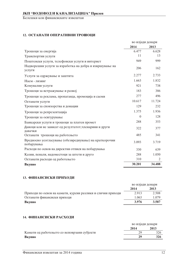# 12. ОСТАНАТИ ОПЕРАТИВНИ ТРОШОЦИ

|                                                                      | во илјади денари |        |
|----------------------------------------------------------------------|------------------|--------|
|                                                                      | 2014             | 2013   |
| Трошоци за енергија                                                  | 6.477            | 6.628  |
| Транспортни услуги                                                   | 11               | 13     |
| Поштенски услуги, телефонски услуги и интернет                       | 949              | 999    |
| Надворешни услуги за изработка на добра и извршување на<br>услуги    | 206              | 162    |
| Услуги за одржување и заштита                                        | 2.277            | 2.733  |
| Наем - лизинг                                                        | 1.663            | 1.832  |
| Комунални услуги                                                     | 921              | 738    |
| Трошоци за истражување и развој                                      | 183              | 386    |
| Трошоци за реклама, пропаганда, промоција и саеми                    | 277              | 496    |
| Останати услуги                                                      | 10.617           | 11.724 |
| Трошоци за спонзорства и донации                                     | 129              | 232    |
| Трошоци за репрезентација                                            | 1.375            | 1.936  |
| Трошоци за осигурување                                               | $\theta$         | 128    |
| Банкарски услуги и трошоци за платен промет                          | 288              | 353    |
| Даноци кои не зависат од резултатот, членарини и други<br>давачки    | 322              | 377    |
| Останати трошоци на работењето                                       | 485              | 341    |
| Вредносно усогласување (обезвреднување) на краткорочни<br>побарувања | 3.093            | 3.719  |
| Расходи по основ на директни отписи на побарувања                    | 330              | 639    |
| Казни, пенали, надоместоци за штети и друго                          | 288              | 1.050  |
| Останати расходи од работењето                                       | 310              | 2      |
| Вкупно                                                               | 30.201           | 34.488 |

#### 13. ФИНАНСИСКИ ПРИХОДИ

|                                                             | во илјади денари |       |
|-------------------------------------------------------------|------------------|-------|
|                                                             | 2014             | 2013  |
| Приходи по основ на камати, курсни разлики и слични приходи | 2.913            | 2.508 |
| Останати финансиски приходи                                 | 1.063            | 1.079 |
| Вкупно                                                      | 3.976            | 3.587 |

# 14. ФИНАНСИСКИ РАСХОДИ

|                                             | во илјади денари |      |
|---------------------------------------------|------------------|------|
|                                             | 2014             | 2013 |
| Камати од работењето со неповрзани субјекти |                  |      |
| Вкупно                                      | 29               | 326  |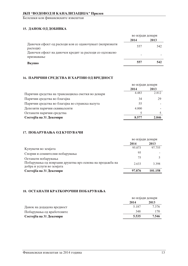# 15. ДАНОК ОД ДОБИВКА

|                                                                      | во илјади денари |      |
|----------------------------------------------------------------------|------------------|------|
|                                                                      | 2014             | 2013 |
| Даночен ефект од расходи кои се оданочуваат (непризнати<br>расходи)  | 557              | 542  |
| Даночен ефект на даночен кредит за расходи со одложено<br>признавање |                  |      |
| Вкупно                                                               | 557              | 542  |

# 16. ПАРИЧНИ СРЕДСТВА И ХАРТИИ ОД ВРЕДНОСТ

| во илјади денари |       |
|------------------|-------|
| 2014             | 2013  |
| 4.483            | 2.812 |
| 34               | 29    |
| 55               |       |
| 4.000            |       |
|                  |       |
| 8.577            | 2.846 |
|                  |       |

# 17. ПОБАРУВАЊА ОД КУПУВАЧИ

|                                                                                       | во илјади денари |         |
|---------------------------------------------------------------------------------------|------------------|---------|
|                                                                                       | 2014             | 2013    |
| Купувачи во земјата                                                                   | 95.073           | 97.755  |
| Спорни и сомнителни побарувања                                                        | 95               |         |
| Останати побарувања                                                                   | 75               |         |
| Побарувања од поврзани друштва врз основа на продажба на<br>добра и услуги во земјата | 2.633            | 3.398   |
| Состојба на 31 Декември                                                               | 97.876           | 101.158 |
|                                                                                       |                  |         |

#### 18. ОСТАНАТИ КРАТКОРОЧНИ ПОБАРУВАЊА

|                            | во илјади денари |       |
|----------------------------|------------------|-------|
|                            | 2014             | 2013  |
| Данок на додадена вредност | 5.187            | 7.376 |
| Побарувања од вработените  | 348              | 170   |
| Состојба на 31 Декември    | 5.535            | 7.546 |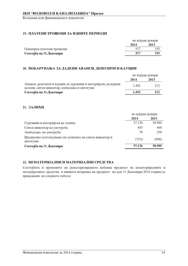# 19. ПЛАТЕНИ ТРОШОЦИ ЗА ИДНИТЕ ПЕРИОДИ

|                          |      | во илјади денари |
|--------------------------|------|------------------|
|                          | 2014 | 2013             |
| Однапред платени трошоци | 517  |                  |
| Состојба на 31.Декември  | 517  | 155              |
|                          |      |                  |

#### 20. ПОБАРУВАЊА ЗА ДАДЕНИ АВАНСИ, ДЕПОЗИТИ И КАУЦИИ

|                                                                                                             |       | во илјади денари |
|-------------------------------------------------------------------------------------------------------------|-------|------------------|
|                                                                                                             | 2014  | 2013             |
| Аванси, депозити и кауции за суровини и материјали, резервни<br>делови, ситен инвентар, амбалажа и автогуми | 1492  | 212              |
| Состојба на 31.Декември                                                                                     | 1.492 | 212              |

#### 21. ЗАЛИХИ

|                                                                    | во илјади денари |        |
|--------------------------------------------------------------------|------------------|--------|
|                                                                    | 2014             | 2013   |
| Суровини и материјали на залиха                                    | 57.136           | 58.905 |
| Ситен инвентар во употреба                                         | 683              | 668    |
| Амбалажа во употреба                                               | 70               | 230    |
| Вредносно усогласување на залихите на ситен инвентар и<br>автогуми | (753)            | (898)  |
| Состојба на 31 Декември                                            | 57.136           | 58.905 |

#### 22. НЕМАТЕРИЈАЛНИ И МАТЕРИЈАЛНИ СРЕДСТВА

Состојбата и промените на ревалоризираната набавна вредност на нематеријалните и материјалните средства и нивната исправка на вредност на ден 31 Декември 2014 година се прикажани во следната табела: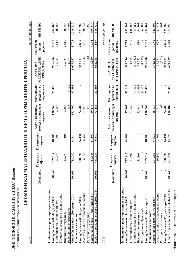| средства во<br>Материјални<br>Материјални<br>(11.052)<br>(11.052)<br>(4.635)<br>ı.<br>٠<br>средства во<br>27.456<br>32.608<br>32.608<br>43.145<br>27.458<br>5.152<br>подготовка<br>подготовка<br>мебел и транс. ср.и<br>(358)<br>(164)<br>(163)<br>(358)<br>мебел и транс. ср.и<br>130.760<br>2.358<br>24.680<br>73.324<br>8.710<br>2.358<br>93.486<br>16.133<br>Алат и канц.инв.,<br>132.760<br>14.952<br>39.274<br>57.602<br>73.324<br>130.762<br>Алат и канц.инв.,<br>опрема<br>опрема<br>Постројки и<br>Постројки и<br>$\mathbf{I}$<br>206<br>48.008<br>206<br>48.008<br>48.214<br>6.966<br>41.397<br>6.817<br>48.008<br>31.930<br>34.431<br>2.501<br>опрема<br>опрема<br>Градежни<br>314.448<br>759.314<br>23.773<br>308.090<br>468.639<br>Градежни<br>759.314<br>291.950<br>16.140<br>23.773<br>783.087<br>6.358<br>727.813<br>31.501<br>31.501<br>објекти<br>објекти<br>10.668<br>Земјиште<br>Земјиште<br>10.668<br>J.<br>$\mathbf{I}$<br>τ.<br>J.<br>10.668<br>10.668<br>10.668<br>Набавна или ревалоризирана вредност<br>Набавна или ревалоризирана вредност<br>Неоти. вредн. на оси.сред 31.Дек.2014<br>Амортизација за тековната година<br>Аморгизација за тековната година<br>Состојба на ден 31. Декември 2014<br>Состојба на ден 31. Декември 2013<br>Пренос од средства во подготовка<br>Пренос од средства во подготовка<br>Состојба на ден 31. Декември 2014<br>Состојба на ден 01 Јануари 2014<br>Состојба на ден 01 Јануари 2014<br>Состојба на ден 01 Јануари 2013<br>Состојба на ден 01 Јануари 2013<br>Набавки во текот на годината<br>Набавки во текот на годината<br>Расходувања/ Продажби<br>Расходувања/ Продажби<br>Исправка на вредност<br>Исправка на вредност<br>Вкупни зголемувања:<br>Вкупни зголемувања:<br>Расходи и отугувања<br>Расходи и отугувања<br>2013 | 2014                               |         |        | ПРОМЕНИ КАЈ МАТЕРИЈАЛНИТЕ И НЕМАТЕРИЈАЛНИТЕ СРЕДСТВА |                                                  |                                | во илјади денари |
|-------------------------------------------------------------------------------------------------------------------------------------------------------------------------------------------------------------------------------------------------------------------------------------------------------------------------------------------------------------------------------------------------------------------------------------------------------------------------------------------------------------------------------------------------------------------------------------------------------------------------------------------------------------------------------------------------------------------------------------------------------------------------------------------------------------------------------------------------------------------------------------------------------------------------------------------------------------------------------------------------------------------------------------------------------------------------------------------------------------------------------------------------------------------------------------------------------------------------------------------------------------------------------------------------------------------------------------------------------------------------------------------------------------------------------------------------------------------------------------------------------------------------------------------------------------------------------------------------------------------------------------------------------------------------------------------------------------------------------------------------------------------------------------------------|------------------------------------|---------|--------|------------------------------------------------------|--------------------------------------------------|--------------------------------|------------------|
|                                                                                                                                                                                                                                                                                                                                                                                                                                                                                                                                                                                                                                                                                                                                                                                                                                                                                                                                                                                                                                                                                                                                                                                                                                                                                                                                                                                                                                                                                                                                                                                                                                                                                                                                                                                                 |                                    |         |        |                                                      | <b>МАТЕРИЈАЛНИ</b><br>СРЕДСТВА<br><b>BKYIIHO</b> | Нематери-<br>средства<br>janun | <b>ВКУПНО</b>    |
|                                                                                                                                                                                                                                                                                                                                                                                                                                                                                                                                                                                                                                                                                                                                                                                                                                                                                                                                                                                                                                                                                                                                                                                                                                                                                                                                                                                                                                                                                                                                                                                                                                                                                                                                                                                                 |                                    |         |        |                                                      | 976.206                                          | 6.257                          | 982.463          |
|                                                                                                                                                                                                                                                                                                                                                                                                                                                                                                                                                                                                                                                                                                                                                                                                                                                                                                                                                                                                                                                                                                                                                                                                                                                                                                                                                                                                                                                                                                                                                                                                                                                                                                                                                                                                 |                                    |         |        |                                                      | 26.337                                           | 2.516                          | 28.853           |
|                                                                                                                                                                                                                                                                                                                                                                                                                                                                                                                                                                                                                                                                                                                                                                                                                                                                                                                                                                                                                                                                                                                                                                                                                                                                                                                                                                                                                                                                                                                                                                                                                                                                                                                                                                                                 |                                    |         |        |                                                      |                                                  |                                |                  |
|                                                                                                                                                                                                                                                                                                                                                                                                                                                                                                                                                                                                                                                                                                                                                                                                                                                                                                                                                                                                                                                                                                                                                                                                                                                                                                                                                                                                                                                                                                                                                                                                                                                                                                                                                                                                 |                                    |         |        |                                                      | 26.337                                           | 2.516                          | 28.853           |
|                                                                                                                                                                                                                                                                                                                                                                                                                                                                                                                                                                                                                                                                                                                                                                                                                                                                                                                                                                                                                                                                                                                                                                                                                                                                                                                                                                                                                                                                                                                                                                                                                                                                                                                                                                                                 |                                    |         |        |                                                      | 4.794                                            |                                | 4.794            |
|                                                                                                                                                                                                                                                                                                                                                                                                                                                                                                                                                                                                                                                                                                                                                                                                                                                                                                                                                                                                                                                                                                                                                                                                                                                                                                                                                                                                                                                                                                                                                                                                                                                                                                                                                                                                 |                                    |         |        |                                                      | 1.007.337                                        | 8.773                          | 1.016.110        |
|                                                                                                                                                                                                                                                                                                                                                                                                                                                                                                                                                                                                                                                                                                                                                                                                                                                                                                                                                                                                                                                                                                                                                                                                                                                                                                                                                                                                                                                                                                                                                                                                                                                                                                                                                                                                 |                                    |         |        |                                                      |                                                  |                                |                  |
|                                                                                                                                                                                                                                                                                                                                                                                                                                                                                                                                                                                                                                                                                                                                                                                                                                                                                                                                                                                                                                                                                                                                                                                                                                                                                                                                                                                                                                                                                                                                                                                                                                                                                                                                                                                                 |                                    |         |        |                                                      | 367.201                                          | 4.008                          | 371.209          |
|                                                                                                                                                                                                                                                                                                                                                                                                                                                                                                                                                                                                                                                                                                                                                                                                                                                                                                                                                                                                                                                                                                                                                                                                                                                                                                                                                                                                                                                                                                                                                                                                                                                                                                                                                                                                 |                                    |         |        |                                                      | 28.276                                           | 246                            | 28.522           |
|                                                                                                                                                                                                                                                                                                                                                                                                                                                                                                                                                                                                                                                                                                                                                                                                                                                                                                                                                                                                                                                                                                                                                                                                                                                                                                                                                                                                                                                                                                                                                                                                                                                                                                                                                                                                 |                                    |         |        |                                                      | (358)                                            |                                | (358)            |
|                                                                                                                                                                                                                                                                                                                                                                                                                                                                                                                                                                                                                                                                                                                                                                                                                                                                                                                                                                                                                                                                                                                                                                                                                                                                                                                                                                                                                                                                                                                                                                                                                                                                                                                                                                                                 |                                    |         |        |                                                      | 395.119                                          | 4.254                          | 399.373          |
|                                                                                                                                                                                                                                                                                                                                                                                                                                                                                                                                                                                                                                                                                                                                                                                                                                                                                                                                                                                                                                                                                                                                                                                                                                                                                                                                                                                                                                                                                                                                                                                                                                                                                                                                                                                                 |                                    |         |        |                                                      | 612.218                                          | 4.519                          | 616.737          |
|                                                                                                                                                                                                                                                                                                                                                                                                                                                                                                                                                                                                                                                                                                                                                                                                                                                                                                                                                                                                                                                                                                                                                                                                                                                                                                                                                                                                                                                                                                                                                                                                                                                                                                                                                                                                 |                                    |         |        |                                                      |                                                  |                                | во илјади денари |
|                                                                                                                                                                                                                                                                                                                                                                                                                                                                                                                                                                                                                                                                                                                                                                                                                                                                                                                                                                                                                                                                                                                                                                                                                                                                                                                                                                                                                                                                                                                                                                                                                                                                                                                                                                                                 |                                    |         |        |                                                      | <b>BKYIIHO</b>                                   | Нематери-                      |                  |
|                                                                                                                                                                                                                                                                                                                                                                                                                                                                                                                                                                                                                                                                                                                                                                                                                                                                                                                                                                                                                                                                                                                                                                                                                                                                                                                                                                                                                                                                                                                                                                                                                                                                                                                                                                                                 |                                    |         |        |                                                      | НИ СРЕДСТВА<br>МАТЕРИЈАЛ-                        | средства<br>јални              | ВКУПНО           |
|                                                                                                                                                                                                                                                                                                                                                                                                                                                                                                                                                                                                                                                                                                                                                                                                                                                                                                                                                                                                                                                                                                                                                                                                                                                                                                                                                                                                                                                                                                                                                                                                                                                                                                                                                                                                 |                                    |         |        |                                                      |                                                  |                                |                  |
|                                                                                                                                                                                                                                                                                                                                                                                                                                                                                                                                                                                                                                                                                                                                                                                                                                                                                                                                                                                                                                                                                                                                                                                                                                                                                                                                                                                                                                                                                                                                                                                                                                                                                                                                                                                                 |                                    |         |        |                                                      | 887.236                                          | 5.727                          | 892.963          |
|                                                                                                                                                                                                                                                                                                                                                                                                                                                                                                                                                                                                                                                                                                                                                                                                                                                                                                                                                                                                                                                                                                                                                                                                                                                                                                                                                                                                                                                                                                                                                                                                                                                                                                                                                                                                 |                                    |         |        |                                                      | 104.825                                          | 530                            | 105.355          |
|                                                                                                                                                                                                                                                                                                                                                                                                                                                                                                                                                                                                                                                                                                                                                                                                                                                                                                                                                                                                                                                                                                                                                                                                                                                                                                                                                                                                                                                                                                                                                                                                                                                                                                                                                                                                 |                                    |         |        |                                                      | (11.052)                                         |                                | (11.052)         |
|                                                                                                                                                                                                                                                                                                                                                                                                                                                                                                                                                                                                                                                                                                                                                                                                                                                                                                                                                                                                                                                                                                                                                                                                                                                                                                                                                                                                                                                                                                                                                                                                                                                                                                                                                                                                 |                                    |         |        |                                                      | 93.773                                           | 530                            | 94.303           |
|                                                                                                                                                                                                                                                                                                                                                                                                                                                                                                                                                                                                                                                                                                                                                                                                                                                                                                                                                                                                                                                                                                                                                                                                                                                                                                                                                                                                                                                                                                                                                                                                                                                                                                                                                                                                 |                                    |         |        |                                                      | (4.799)                                          |                                | (4.799)          |
|                                                                                                                                                                                                                                                                                                                                                                                                                                                                                                                                                                                                                                                                                                                                                                                                                                                                                                                                                                                                                                                                                                                                                                                                                                                                                                                                                                                                                                                                                                                                                                                                                                                                                                                                                                                                 |                                    |         |        |                                                      | 976.210                                          | 6.257                          | 982.467          |
|                                                                                                                                                                                                                                                                                                                                                                                                                                                                                                                                                                                                                                                                                                                                                                                                                                                                                                                                                                                                                                                                                                                                                                                                                                                                                                                                                                                                                                                                                                                                                                                                                                                                                                                                                                                                 |                                    |         |        |                                                      |                                                  |                                |                  |
|                                                                                                                                                                                                                                                                                                                                                                                                                                                                                                                                                                                                                                                                                                                                                                                                                                                                                                                                                                                                                                                                                                                                                                                                                                                                                                                                                                                                                                                                                                                                                                                                                                                                                                                                                                                                 |                                    |         |        |                                                      | 340.013                                          | 3.381                          | 343.394          |
|                                                                                                                                                                                                                                                                                                                                                                                                                                                                                                                                                                                                                                                                                                                                                                                                                                                                                                                                                                                                                                                                                                                                                                                                                                                                                                                                                                                                                                                                                                                                                                                                                                                                                                                                                                                                 |                                    |         |        |                                                      | 27.351                                           | 627                            | 27.978           |
|                                                                                                                                                                                                                                                                                                                                                                                                                                                                                                                                                                                                                                                                                                                                                                                                                                                                                                                                                                                                                                                                                                                                                                                                                                                                                                                                                                                                                                                                                                                                                                                                                                                                                                                                                                                                 |                                    |         |        |                                                      | (163)                                            |                                | (163)            |
|                                                                                                                                                                                                                                                                                                                                                                                                                                                                                                                                                                                                                                                                                                                                                                                                                                                                                                                                                                                                                                                                                                                                                                                                                                                                                                                                                                                                                                                                                                                                                                                                                                                                                                                                                                                                 | Состојба на ден 31. Декември 2013  | 308.090 | 34.431 | 24.680                                               | 367.201                                          | 4.008                          | 371.209          |
| 27.458<br>106.082<br>13.577<br>451.224<br>10.668<br>Неотп. вредн. на оси.сред 31.Дек.2013                                                                                                                                                                                                                                                                                                                                                                                                                                                                                                                                                                                                                                                                                                                                                                                                                                                                                                                                                                                                                                                                                                                                                                                                                                                                                                                                                                                                                                                                                                                                                                                                                                                                                                       |                                    |         |        |                                                      | 609.009                                          | 2.249                          | 611.258          |
|                                                                                                                                                                                                                                                                                                                                                                                                                                                                                                                                                                                                                                                                                                                                                                                                                                                                                                                                                                                                                                                                                                                                                                                                                                                                                                                                                                                                                                                                                                                                                                                                                                                                                                                                                                                                 | Финансиски извештаи за 2014 година |         |        | 15                                                   |                                                  |                                |                  |

**JKII "BOJIOBOJI И КАНАЛИЗАЦИЈА" Прилеп**<br>Белешки кон финансиските извештаи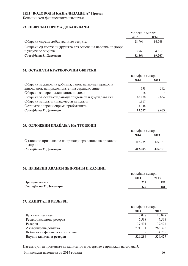Белешки кон финансиските извештаи

# 23. ОБВРСКИ СПРЕМА ДОБАВУВАЧИ

|                                                            | во илјади денари |        |
|------------------------------------------------------------|------------------|--------|
|                                                            | 2014             | 2013   |
| Обврски спрема добавувачи во земјата                       | 28.906           | 14.748 |
| Обврски од поврзани друштва врз основа на набавка на добра |                  |        |
| и услуги во земјата                                        | 3.960            | 4.519  |
| Состојба на 31 Декември                                    | 32.866           | 19.267 |

#### 24. ОСТАНАТИ КРАТКОРОЧНИ ОБВРСКИ

|                                                       | во илјади денари |       |
|-------------------------------------------------------|------------------|-------|
|                                                       | 2014             | 2013  |
| Обврски за данок на добивка, данок на вкупен приход и |                  |       |
| данокданок на приход платен на странско лице          | 558              | 542   |
| Обврски за персонален данок на доход                  | 16               |       |
| Обврски за останати даноци, придонеси и други давачки | 10.200           | 8.054 |
| Обврски за плати и надомести на плати                 | 1.587            |       |
| Останати обврски спрема вработените                   | 3.346            |       |
| Состојба на 31 Декември                               | 15.707           | 8.603 |

# 25. ОДЛОЖЕНИ ПЛАЌАЊА НА ТРОШОЦИ

|                                                                  | во илјади денари |         |
|------------------------------------------------------------------|------------------|---------|
|                                                                  | 2014             | 2013    |
| Одложено признавање на приходи врз основа на државни<br>поддршки | 412.785          | 427.781 |
| Состојба на 31 Декември                                          | 412.785          | 427.781 |
|                                                                  |                  |         |

# 26. ПРИМЕНИ АВАНСИ ДЕПОЗИТИ И КАУЦИИ

|                         |        | во илјади денари |  |
|-------------------------|--------|------------------|--|
|                         | 2014   | 2013             |  |
| Примени аванси          | $22^-$ | 181              |  |
| Состојба на 31.Декември | 227    | 181              |  |
|                         |        |                  |  |

#### 27. КАПИТАЛ И РЕЗЕРВИ

|                                |         | во илјади денари |  |
|--------------------------------|---------|------------------|--|
|                                | 2014    | 2013             |  |
| Државен капитал                | 10.028  | 10.028           |  |
| Ревалоризациона резерва        | 7.598   | 7.598            |  |
| Резерви                        | 37.491  | 37.491           |  |
| Акумулирана добивка            | 271.131 | 266.375          |  |
| Добивка на финансиската година | 38      | 4.755            |  |
| Вкупно капитал и резерви       | 326.286 | 326.427          |  |
|                                |         |                  |  |

Извештајот за промените на капиталот и резервите е прикажан на страна 5.